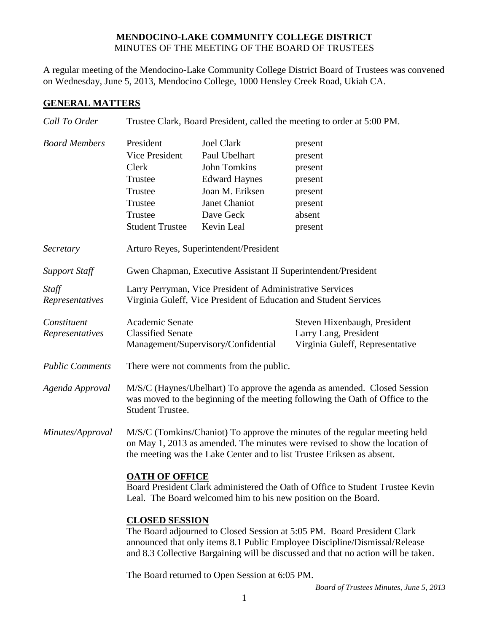#### **MENDOCINO-LAKE COMMUNITY COLLEGE DISTRICT** MINUTES OF THE MEETING OF THE BOARD OF TRUSTEES

A regular meeting of the Mendocino-Lake Community College District Board of Trustees was convened on Wednesday, June 5, 2013, Mendocino College, 1000 Hensley Creek Road, Ukiah CA.

### **GENERAL MATTERS**

| Call To Order          | Trustee Clark, Board President, called the meeting to order at 5:00 PM.                                                                                                                                                                                             |                      |                              |  |
|------------------------|---------------------------------------------------------------------------------------------------------------------------------------------------------------------------------------------------------------------------------------------------------------------|----------------------|------------------------------|--|
| <b>Board Members</b>   | President                                                                                                                                                                                                                                                           | <b>Joel Clark</b>    | present                      |  |
|                        | Vice President                                                                                                                                                                                                                                                      | Paul Ubelhart        | present                      |  |
|                        | Clerk                                                                                                                                                                                                                                                               | <b>John Tomkins</b>  | present                      |  |
|                        | Trustee                                                                                                                                                                                                                                                             | <b>Edward Haynes</b> | present                      |  |
|                        | Trustee                                                                                                                                                                                                                                                             | Joan M. Eriksen      | present                      |  |
|                        | Trustee                                                                                                                                                                                                                                                             | Janet Chaniot        | present                      |  |
|                        | Trustee                                                                                                                                                                                                                                                             | Dave Geck            | absent                       |  |
|                        | <b>Student Trustee</b>                                                                                                                                                                                                                                              | Kevin Leal           | present                      |  |
| Secretary              | Arturo Reyes, Superintendent/President                                                                                                                                                                                                                              |                      |                              |  |
| <b>Support Staff</b>   | Gwen Chapman, Executive Assistant II Superintendent/President                                                                                                                                                                                                       |                      |                              |  |
| Staff                  | Larry Perryman, Vice President of Administrative Services                                                                                                                                                                                                           |                      |                              |  |
| Representatives        | Virginia Guleff, Vice President of Education and Student Services                                                                                                                                                                                                   |                      |                              |  |
| Constituent            | Academic Senate                                                                                                                                                                                                                                                     |                      | Steven Hixenbaugh, President |  |
| Representatives        | <b>Classified Senate</b>                                                                                                                                                                                                                                            |                      | Larry Lang, President        |  |
|                        | Management/Supervisory/Confidential<br>Virginia Guleff, Representative                                                                                                                                                                                              |                      |                              |  |
| <b>Public Comments</b> | There were not comments from the public.                                                                                                                                                                                                                            |                      |                              |  |
| Agenda Approval        | M/S/C (Haynes/Ubelhart) To approve the agenda as amended. Closed Session<br>was moved to the beginning of the meeting following the Oath of Office to the<br>Student Trustee.                                                                                       |                      |                              |  |
| Minutes/Approval       | M/S/C (Tomkins/Chaniot) To approve the minutes of the regular meeting held<br>on May 1, 2013 as amended. The minutes were revised to show the location of<br>the meeting was the Lake Center and to list Trustee Eriksen as absent.                                 |                      |                              |  |
|                        | <b>OATH OF OFFICE</b><br>Board President Clark administered the Oath of Office to Student Trustee Kevin<br>Leal. The Board welcomed him to his new position on the Board.                                                                                           |                      |                              |  |
|                        | <b>CLOSED SESSION</b><br>The Board adjourned to Closed Session at 5:05 PM. Board President Clark<br>announced that only items 8.1 Public Employee Discipline/Dismissal/Release<br>and 8.3 Collective Bargaining will be discussed and that no action will be taken. |                      |                              |  |
|                        |                                                                                                                                                                                                                                                                     |                      |                              |  |

The Board returned to Open Session at 6:05 PM.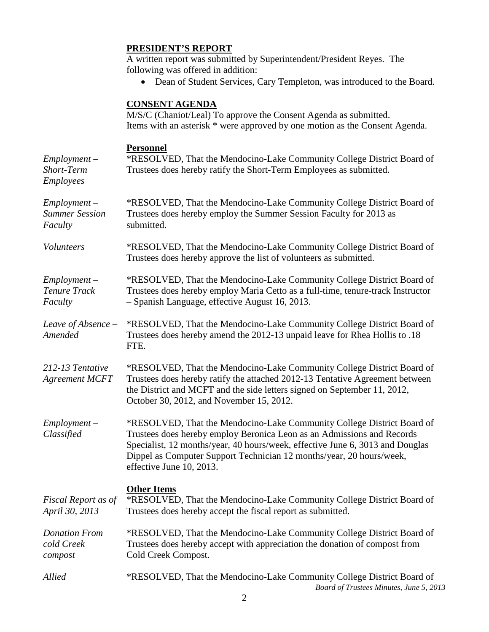## **PRESIDENT'S REPORT**

A written report was submitted by Superintendent/President Reyes. The following was offered in addition:

• Dean of Student Services, Cary Templeton, was introduced to the Board.

# **CONSENT AGENDA**

M/S/C (Chaniot/Leal) To approve the Consent Agenda as submitted. Items with an asterisk \* were approved by one motion as the Consent Agenda.

### **Personnel**

| $Employment -$<br>Short-Term<br><b>Employees</b>   | *RESOLVED, That the Mendocino-Lake Community College District Board of<br>Trustees does hereby ratify the Short-Term Employees as submitted.                                                                                                                                                                                          |  |  |
|----------------------------------------------------|---------------------------------------------------------------------------------------------------------------------------------------------------------------------------------------------------------------------------------------------------------------------------------------------------------------------------------------|--|--|
| $Employment -$<br><b>Summer Session</b><br>Faculty | *RESOLVED, That the Mendocino-Lake Community College District Board of<br>Trustees does hereby employ the Summer Session Faculty for 2013 as<br>submitted.                                                                                                                                                                            |  |  |
| Volunteers                                         | *RESOLVED, That the Mendocino-Lake Community College District Board of<br>Trustees does hereby approve the list of volunteers as submitted.                                                                                                                                                                                           |  |  |
| $Employment -$<br>Tenure Track<br>Faculty          | *RESOLVED, That the Mendocino-Lake Community College District Board of<br>Trustees does hereby employ Maria Cetto as a full-time, tenure-track Instructor<br>- Spanish Language, effective August 16, 2013.                                                                                                                           |  |  |
| Leave of Absence $-$<br>Amended                    | *RESOLVED, That the Mendocino-Lake Community College District Board of<br>Trustees does hereby amend the 2012-13 unpaid leave for Rhea Hollis to .18<br>FTE.                                                                                                                                                                          |  |  |
| 212-13 Tentative<br><b>Agreement MCFT</b>          | *RESOLVED, That the Mendocino-Lake Community College District Board of<br>Trustees does hereby ratify the attached 2012-13 Tentative Agreement between<br>the District and MCFT and the side letters signed on September 11, 2012,<br>October 30, 2012, and November 15, 2012.                                                        |  |  |
| $Employment -$<br>Classified                       | *RESOLVED, That the Mendocino-Lake Community College District Board of<br>Trustees does hereby employ Beronica Leon as an Admissions and Records<br>Specialist, 12 months/year, 40 hours/week, effective June 6, 3013 and Douglas<br>Dippel as Computer Support Technician 12 months/year, 20 hours/week,<br>effective June 10, 2013. |  |  |
| Fiscal Report as of<br>April 30, 2013              | <b>Other Items</b><br>*RESOLVED, That the Mendocino-Lake Community College District Board of<br>Trustees does hereby accept the fiscal report as submitted.                                                                                                                                                                           |  |  |
| <b>Donation From</b><br>cold Creek<br>compost      | *RESOLVED, That the Mendocino-Lake Community College District Board of<br>Trustees does hereby accept with appreciation the donation of compost from<br>Cold Creek Compost.                                                                                                                                                           |  |  |
| <b>Allied</b>                                      | *RESOLVED, That the Mendocino-Lake Community College District Board of<br>Board of Trustees Minutes, June 5, 2013                                                                                                                                                                                                                     |  |  |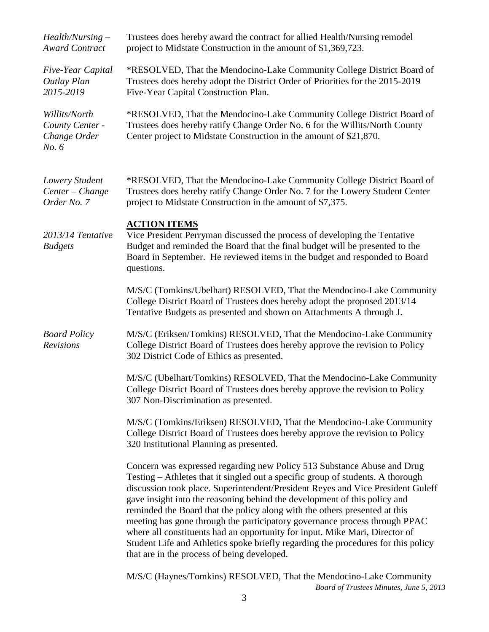| $Health/Nursing -$<br><b>Award Contract</b>               | Trustees does hereby award the contract for allied Health/Nursing remodel<br>project to Midstate Construction in the amount of \$1,369,723.                                                                                                                                                                                                                                                                                                                                                                                                                                                                                                                                                               |
|-----------------------------------------------------------|-----------------------------------------------------------------------------------------------------------------------------------------------------------------------------------------------------------------------------------------------------------------------------------------------------------------------------------------------------------------------------------------------------------------------------------------------------------------------------------------------------------------------------------------------------------------------------------------------------------------------------------------------------------------------------------------------------------|
| Five-Year Capital<br>Outlay Plan<br>2015-2019             | *RESOLVED, That the Mendocino-Lake Community College District Board of<br>Trustees does hereby adopt the District Order of Priorities for the 2015-2019<br>Five-Year Capital Construction Plan.                                                                                                                                                                                                                                                                                                                                                                                                                                                                                                           |
| Willits/North<br>County Center -<br>Change Order<br>No. 6 | *RESOLVED, That the Mendocino-Lake Community College District Board of<br>Trustees does hereby ratify Change Order No. 6 for the Willits/North County<br>Center project to Midstate Construction in the amount of \$21,870.                                                                                                                                                                                                                                                                                                                                                                                                                                                                               |
| Lowery Student<br>Center - Change<br>Order No. 7          | *RESOLVED, That the Mendocino-Lake Community College District Board of<br>Trustees does hereby ratify Change Order No. 7 for the Lowery Student Center<br>project to Midstate Construction in the amount of \$7,375.                                                                                                                                                                                                                                                                                                                                                                                                                                                                                      |
| 2013/14 Tentative<br><b>Budgets</b>                       | <b>ACTION ITEMS</b><br>Vice President Perryman discussed the process of developing the Tentative<br>Budget and reminded the Board that the final budget will be presented to the<br>Board in September. He reviewed items in the budget and responded to Board<br>questions.                                                                                                                                                                                                                                                                                                                                                                                                                              |
|                                                           | M/S/C (Tomkins/Ubelhart) RESOLVED, That the Mendocino-Lake Community<br>College District Board of Trustees does hereby adopt the proposed 2013/14<br>Tentative Budgets as presented and shown on Attachments A through J.                                                                                                                                                                                                                                                                                                                                                                                                                                                                                 |
| <b>Board Policy</b><br>Revisions                          | M/S/C (Eriksen/Tomkins) RESOLVED, That the Mendocino-Lake Community<br>College District Board of Trustees does hereby approve the revision to Policy<br>302 District Code of Ethics as presented.                                                                                                                                                                                                                                                                                                                                                                                                                                                                                                         |
|                                                           | M/S/C (Ubelhart/Tomkins) RESOLVED, That the Mendocino-Lake Community<br>College District Board of Trustees does hereby approve the revision to Policy<br>307 Non-Discrimination as presented.                                                                                                                                                                                                                                                                                                                                                                                                                                                                                                             |
|                                                           | M/S/C (Tomkins/Eriksen) RESOLVED, That the Mendocino-Lake Community<br>College District Board of Trustees does hereby approve the revision to Policy<br>320 Institutional Planning as presented.                                                                                                                                                                                                                                                                                                                                                                                                                                                                                                          |
|                                                           | Concern was expressed regarding new Policy 513 Substance Abuse and Drug<br>Testing – Athletes that it singled out a specific group of students. A thorough<br>discussion took place. Superintendent/President Reyes and Vice President Guleff<br>gave insight into the reasoning behind the development of this policy and<br>reminded the Board that the policy along with the others presented at this<br>meeting has gone through the participatory governance process through PPAC<br>where all constituents had an opportunity for input. Mike Mari, Director of<br>Student Life and Athletics spoke briefly regarding the procedures for this policy<br>that are in the process of being developed. |
|                                                           | M/S/C (Haynes/Tomkins) RESOLVED, That the Mendocino-Lake Community                                                                                                                                                                                                                                                                                                                                                                                                                                                                                                                                                                                                                                        |

*Board of Trustees Minutes, June 5, 2013*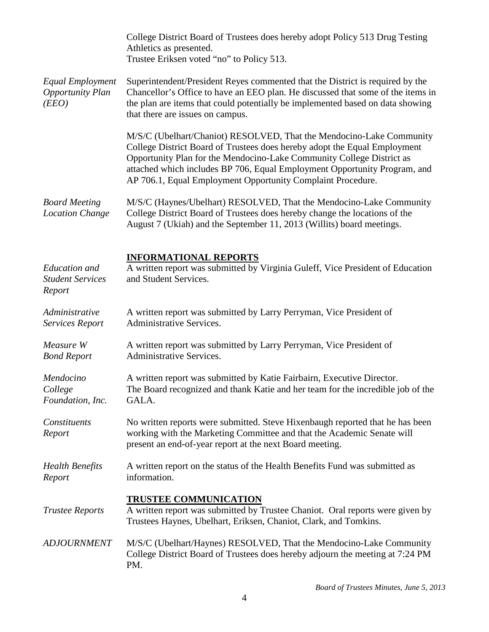|                                                           | College District Board of Trustees does hereby adopt Policy 513 Drug Testing<br>Athletics as presented.<br>Trustee Eriksen voted "no" to Policy 513.                                                                                                                                                                                                                   |
|-----------------------------------------------------------|------------------------------------------------------------------------------------------------------------------------------------------------------------------------------------------------------------------------------------------------------------------------------------------------------------------------------------------------------------------------|
| Equal Employment<br><b>Opportunity Plan</b><br>(EEO)      | Superintendent/President Reyes commented that the District is required by the<br>Chancellor's Office to have an EEO plan. He discussed that some of the items in<br>the plan are items that could potentially be implemented based on data showing<br>that there are issues on campus.                                                                                 |
|                                                           | M/S/C (Ubelhart/Chaniot) RESOLVED, That the Mendocino-Lake Community<br>College District Board of Trustees does hereby adopt the Equal Employment<br>Opportunity Plan for the Mendocino-Lake Community College District as<br>attached which includes BP 706, Equal Employment Opportunity Program, and<br>AP 706.1, Equal Employment Opportunity Complaint Procedure. |
| <b>Board Meeting</b><br><b>Location Change</b>            | M/S/C (Haynes/Ubelhart) RESOLVED, That the Mendocino-Lake Community<br>College District Board of Trustees does hereby change the locations of the<br>August 7 (Ukiah) and the September 11, 2013 (Willits) board meetings.                                                                                                                                             |
| <b>Education</b> and<br><b>Student Services</b><br>Report | <b>INFORMATIONAL REPORTS</b><br>A written report was submitted by Virginia Guleff, Vice President of Education<br>and Student Services.                                                                                                                                                                                                                                |
| Administrative<br><b>Services Report</b>                  | A written report was submitted by Larry Perryman, Vice President of<br>Administrative Services.                                                                                                                                                                                                                                                                        |
| Measure W<br><b>Bond Report</b>                           | A written report was submitted by Larry Perryman, Vice President of<br><b>Administrative Services.</b>                                                                                                                                                                                                                                                                 |
| Mendocino<br>College<br>Foundation, Inc.                  | A written report was submitted by Katie Fairbairn, Executive Director.<br>The Board recognized and thank Katie and her team for the incredible job of the<br>GALA.                                                                                                                                                                                                     |
| Constituents<br>Report                                    | No written reports were submitted. Steve Hixenbaugh reported that he has been<br>working with the Marketing Committee and that the Academic Senate will<br>present an end-of-year report at the next Board meeting.                                                                                                                                                    |
| <b>Health Benefits</b><br>Report                          | A written report on the status of the Health Benefits Fund was submitted as<br>information.                                                                                                                                                                                                                                                                            |
| <b>Trustee Reports</b>                                    | <u>TRUSTEE COMMUNICATION</u><br>A written report was submitted by Trustee Chaniot. Oral reports were given by<br>Trustees Haynes, Ubelhart, Eriksen, Chaniot, Clark, and Tomkins.                                                                                                                                                                                      |
| <b>ADJOURNMENT</b>                                        | M/S/C (Ubelhart/Haynes) RESOLVED, That the Mendocino-Lake Community<br>College District Board of Trustees does hereby adjourn the meeting at 7:24 PM<br>PM.                                                                                                                                                                                                            |